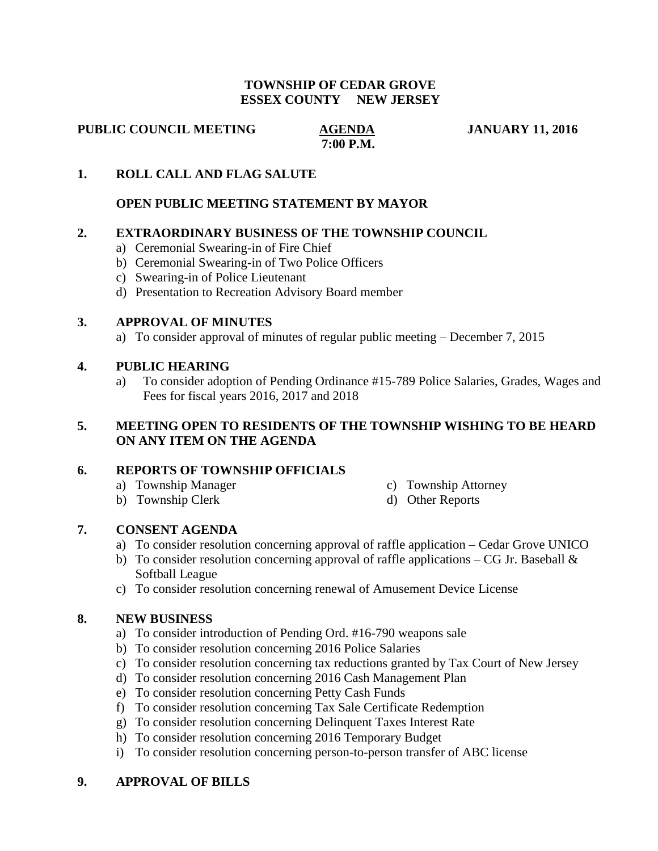#### **TOWNSHIP OF CEDAR GROVE ESSEX COUNTY NEW JERSEY**

**PUBLIC COUNCIL MEETING AGENDA JANUARY 11, 2016** 

# **7:00 P.M.**

# **1. ROLL CALL AND FLAG SALUTE**

### **OPEN PUBLIC MEETING STATEMENT BY MAYOR**

#### **2. EXTRAORDINARY BUSINESS OF THE TOWNSHIP COUNCIL**

- a) Ceremonial Swearing-in of Fire Chief
- b) Ceremonial Swearing-in of Two Police Officers
- c) Swearing-in of Police Lieutenant
- d) Presentation to Recreation Advisory Board member

#### **3. APPROVAL OF MINUTES**

a) To consider approval of minutes of regular public meeting – December 7, 2015

#### **4. PUBLIC HEARING**

a) To consider adoption of Pending Ordinance #15-789 Police Salaries, Grades, Wages and Fees for fiscal years 2016, 2017 and 2018

# **5. MEETING OPEN TO RESIDENTS OF THE TOWNSHIP WISHING TO BE HEARD ON ANY ITEM ON THE AGENDA**

# **6. REPORTS OF TOWNSHIP OFFICIALS**

- a) Township Manager c) Township Attorney
- 
- b) Township Clerk d) Other Reports

# **7. CONSENT AGENDA**

- a) To consider resolution concerning approval of raffle application Cedar Grove UNICO
- b) To consider resolution concerning approval of raffle applications CG Jr. Baseball  $\&$ Softball League
- c) To consider resolution concerning renewal of Amusement Device License

#### **8. NEW BUSINESS**

- a) To consider introduction of Pending Ord. #16-790 weapons sale
- b) To consider resolution concerning 2016 Police Salaries
- c) To consider resolution concerning tax reductions granted by Tax Court of New Jersey
- d) To consider resolution concerning 2016 Cash Management Plan
- e) To consider resolution concerning Petty Cash Funds
- f) To consider resolution concerning Tax Sale Certificate Redemption
- g) To consider resolution concerning Delinquent Taxes Interest Rate
- h) To consider resolution concerning 2016 Temporary Budget
- i) To consider resolution concerning person-to-person transfer of ABC license

# **9. APPROVAL OF BILLS**